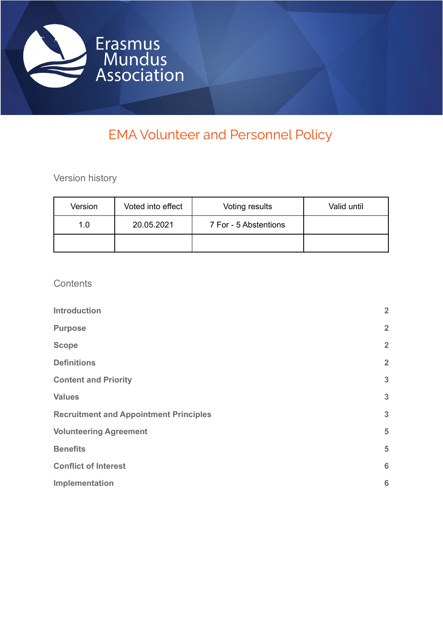

# EMA Volunteer and Personnel Policy

Version history

| Version | Voted into effect | Voting results        | Valid until |
|---------|-------------------|-----------------------|-------------|
| 1.0     | 20.05.2021        | 7 For - 5 Abstentions |             |
|         |                   |                       |             |

## **Contents**

| <b>Introduction</b>                           | $\overline{2}$  |
|-----------------------------------------------|-----------------|
| <b>Purpose</b>                                | $\overline{2}$  |
| <b>Scope</b>                                  | $\overline{2}$  |
| <b>Definitions</b>                            | $\overline{2}$  |
| <b>Content and Priority</b>                   | $\mathbf{3}$    |
| <b>Values</b>                                 | $\mathbf{3}$    |
| <b>Recruitment and Appointment Principles</b> | 3               |
| <b>Volunteering Agreement</b>                 | 5               |
| <b>Benefits</b>                               | 5               |
| <b>Conflict of Interest</b>                   | $6\phantom{1}6$ |
| Implementation                                | 6               |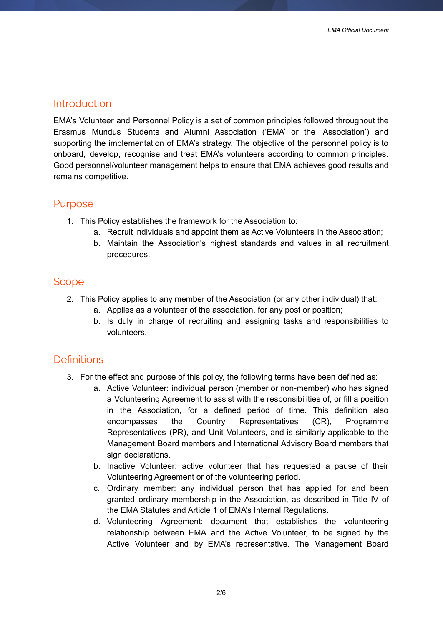#### <span id="page-1-0"></span>Introduction

EMA's Volunteer and Personnel Policy is a set of common principles followed throughout the Erasmus Mundus Students and Alumni Association ('EMA' or the 'Association') and supporting the implementation of EMA's strategy. The objective of the personnel policy is to onboard, develop, recognise and treat EMA's volunteers according to common principles. Good personnel/volunteer management helps to ensure that EMA achieves good results and remains competitive.

### <span id="page-1-1"></span>Purpose

- 1. This Policy establishes the framework for the Association to:
	- a. Recruit individuals and appoint them as Active Volunteers in the Association;
	- b. Maintain the Association's highest standards and values in all recruitment procedures.

## <span id="page-1-2"></span>**Scope**

- 2. This Policy applies to any member of the Association (or any other individual) that:
	- a. Applies as a volunteer of the association, for any post or position;
	- b. Is duly in charge of recruiting and assigning tasks and responsibilities to volunteers.

## <span id="page-1-3"></span>**Definitions**

- 3. For the effect and purpose of this policy, the following terms have been defined as:
	- a. Active Volunteer: individual person (member or non-member) who has signed a Volunteering Agreement to assist with the responsibilities of, or fill a position in the Association, for a defined period of time. This definition also encompasses the Country Representatives (CR), Programme Representatives (PR), and Unit Volunteers, and is similarly applicable to the Management Board members and International Advisory Board members that sign declarations.
	- b. Inactive Volunteer: active volunteer that has requested a pause of their Volunteering Agreement or of the volunteering period.
	- c. Ordinary member: any individual person that has applied for and been granted ordinary membership in the Association, as described in Title IV of the EMA Statutes and Article 1 of EMA's Internal Regulations.
	- d. Volunteering Agreement: document that establishes the volunteering relationship between EMA and the Active Volunteer, to be signed by the Active Volunteer and by EMA's representative. The Management Board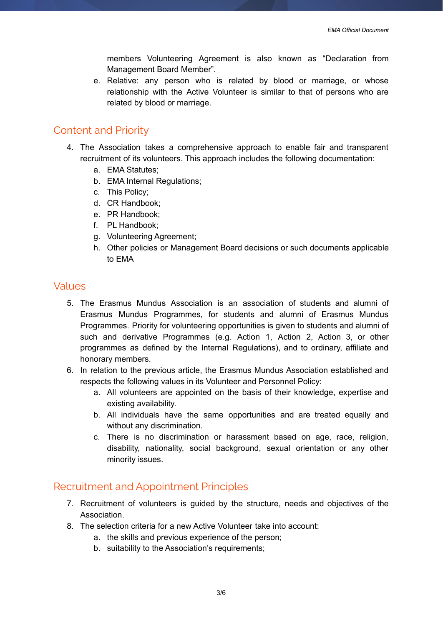members Volunteering Agreement is also known as "Declaration from Management Board Member".

e. Relative: any person who is related by blood or marriage, or whose relationship with the Active Volunteer is similar to that of persons who are related by blood or marriage.

#### <span id="page-2-0"></span>Content and Priority

- 4. The Association takes a comprehensive approach to enable fair and transparent recruitment of its volunteers. This approach includes the following documentation:
	- a. EMA Statutes;
	- b. EMA Internal Regulations;
	- c. This Policy;
	- d. CR Handbook;
	- e. PR Handbook;
	- f. PL Handbook;
	- g. Volunteering Agreement;
	- h. Other policies or Management Board decisions or such documents applicable to EMA

### <span id="page-2-1"></span>Values

- 5. The Erasmus Mundus Association is an association of students and alumni of Erasmus Mundus Programmes, for students and alumni of Erasmus Mundus Programmes. Priority for volunteering opportunities is given to students and alumni of such and derivative Programmes (e.g. Action 1, Action 2, Action 3, or other programmes as defined by the Internal Regulations), and to ordinary, affiliate and honorary members.
- 6. In relation to the previous article, the Erasmus Mundus Association established and respects the following values in its Volunteer and Personnel Policy:
	- a. All volunteers are appointed on the basis of their knowledge, expertise and existing availability.
	- b. All individuals have the same opportunities and are treated equally and without any discrimination.
	- c. There is no discrimination or harassment based on age, race, religion, disability, nationality, social background, sexual orientation or any other minority issues.

### <span id="page-2-2"></span>Recruitment and Appointment Principles

- 7. Recruitment of volunteers is guided by the structure, needs and objectives of the Association.
- 8. The selection criteria for a new Active Volunteer take into account:
	- a. the skills and previous experience of the person;
	- b. suitability to the Association's requirements: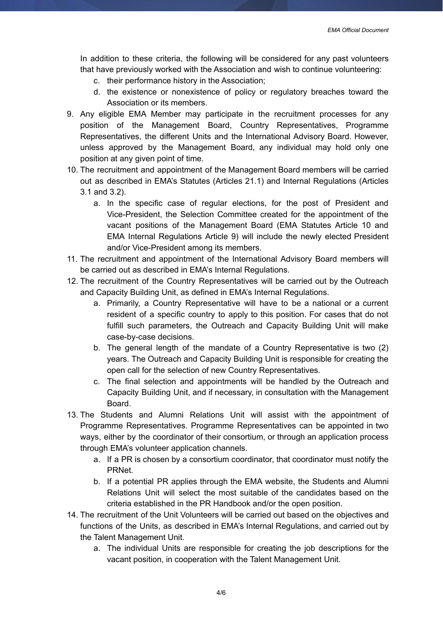In addition to these criteria, the following will be considered for any past volunteers that have previously worked with the Association and wish to continue volunteering:

- c. their performance history in the Association;
- d. the existence or nonexistence of policy or regulatory breaches toward the Association or its members.
- 9. Any eligible EMA Member may participate in the recruitment processes for any position of the Management Board, Country Representatives, Programme Representatives, the different Units and the International Advisory Board. However, unless approved by the Management Board, any individual may hold only one position at any given point of time.
- 10. The recruitment and appointment of the Management Board members will be carried out as described in EMA's Statutes (Articles 21.1) and Internal Regulations (Articles 3.1 and 3.2).
	- a. In the specific case of regular elections, for the post of President and Vice-President, the Selection Committee created for the appointment of the vacant positions of the Management Board (EMA Statutes Article 10 and EMA Internal Regulations Article 9) will include the newly elected President and/or Vice-President among its members.
- 11. The recruitment and appointment of the International Advisory Board members will be carried out as described in EMA's Internal Regulations.
- 12. The recruitment of the Country Representatives will be carried out by the Outreach and Capacity Building Unit, as defined in EMA's Internal Regulations.
	- a. Primarily, a Country Representative will have to be a national or a current resident of a specific country to apply to this position. For cases that do not fulfill such parameters, the Outreach and Capacity Building Unit will make case-by-case decisions.
	- b. The general length of the mandate of a Country Representative is two (2) years. The Outreach and Capacity Building Unit is responsible for creating the open call for the selection of new Country Representatives.
	- c. The final selection and appointments will be handled by the Outreach and Capacity Building Unit, and if necessary, in consultation with the Management Board.
- 13. The Students and Alumni Relations Unit will assist with the appointment of Programme Representatives. Programme Representatives can be appointed in two ways, either by the coordinator of their consortium, or through an application process through EMA's volunteer application channels.
	- a. If a PR is chosen by a consortium coordinator, that coordinator must notify the PRNet.
	- b. If a potential PR applies through the EMA website, the Students and Alumni Relations Unit will select the most suitable of the candidates based on the criteria established in the PR Handbook and/or the open position.
- 14. The recruitment of the Unit Volunteers will be carried out based on the objectives and functions of the Units, as described in EMA's Internal Regulations, and carried out by the Talent Management Unit.
	- a. The individual Units are responsible for creating the job descriptions for the vacant position, in cooperation with the Talent Management Unit.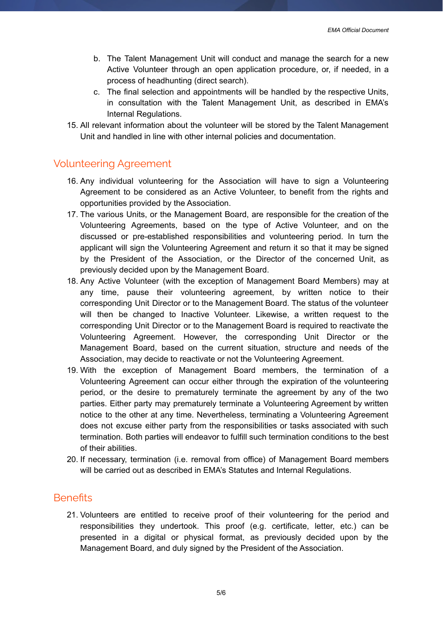*EMA Official Document*

- b. The Talent Management Unit will conduct and manage the search for a new Active Volunteer through an open application procedure, or, if needed, in a process of headhunting (direct search).
- c. The final selection and appointments will be handled by the respective Units, in consultation with the Talent Management Unit, as described in EMA's Internal Regulations.
- 15. All relevant information about the volunteer will be stored by the Talent Management Unit and handled in line with other internal policies and documentation.

## <span id="page-4-0"></span>Volunteering Agreement

- 16. Any individual volunteering for the Association will have to sign a Volunteering Agreement to be considered as an Active Volunteer, to benefit from the rights and opportunities provided by the Association.
- 17. The various Units, or the Management Board, are responsible for the creation of the Volunteering Agreements, based on the type of Active Volunteer, and on the discussed or pre-established responsibilities and volunteering period. In turn the applicant will sign the Volunteering Agreement and return it so that it may be signed by the President of the Association, or the Director of the concerned Unit, as previously decided upon by the Management Board.
- 18. Any Active Volunteer (with the exception of Management Board Members) may at any time, pause their volunteering agreement, by written notice to their corresponding Unit Director or to the Management Board. The status of the volunteer will then be changed to Inactive Volunteer. Likewise, a written request to the corresponding Unit Director or to the Management Board is required to reactivate the Volunteering Agreement. However, the corresponding Unit Director or the Management Board, based on the current situation, structure and needs of the Association, may decide to reactivate or not the Volunteering Agreement.
- 19. With the exception of Management Board members, the termination of a Volunteering Agreement can occur either through the expiration of the volunteering period, or the desire to prematurely terminate the agreement by any of the two parties. Either party may prematurely terminate a Volunteering Agreement by written notice to the other at any time. Nevertheless, terminating a Volunteering Agreement does not excuse either party from the responsibilities or tasks associated with such termination. Both parties will endeavor to fulfill such termination conditions to the best of their abilities.
- 20. If necessary, termination (i.e. removal from office) of Management Board members will be carried out as described in EMA's Statutes and Internal Regulations.

### <span id="page-4-1"></span>**Benefits**

21. Volunteers are entitled to receive proof of their volunteering for the period and responsibilities they undertook. This proof (e.g. certificate, letter, etc.) can be presented in a digital or physical format, as previously decided upon by the Management Board, and duly signed by the President of the Association.